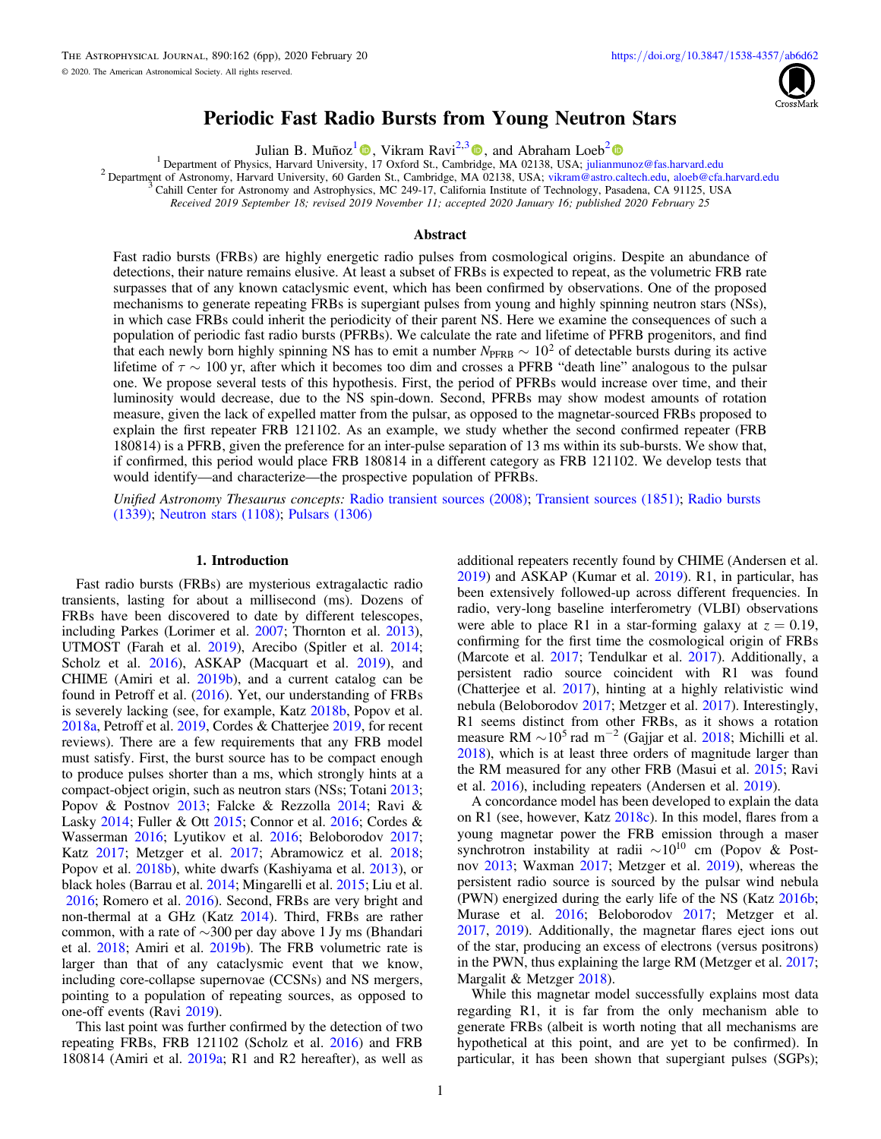

# Periodic Fast Radio Bursts from Young Neutron Stars

Julian B. Muñoz<sup>[1](https://orcid.org/0000-0002-8984-0465)</sup> [,](https://orcid.org/0000-0002-7252-5485) Vikram Ravi<sup>2,[3](https://orcid.org/0000-0002-7252-5485)</sup> , and Abraham Loeb<sup>[2](https://orcid.org/0000-0003-4330-287X)</sup> **D**<br><sup>1</sup> Department of Physics, Harvard University, 17 Oxford St., Cambridge, MA 02138, USA; julianmunoz@fas.harvard.edu

<sup>2</sup> Department of Astronom[y,](https://orcid.org/0000-0002-8984-0465) Harvard University, 60 Garden St., Camb[ridg](https://orcid.org/0000-0002-7252-5485)e, MA 02138, USA; [vikram@astro.caltech.edu,](mailto:vikram@astro.caltech.edu) [aloeb@cfa.harvard.edu](mailto:aloeb@cfa.harvard.edu)<br><sup>3</sup> Cahill Center for Astronomy and Astrophysics, MC 249-17, California Institute o

Received 2019 September 18; revised 2019 November 11; accepted 2020 January 16; published 2020 February 25

## Abstract

Fast radio bursts (FRBs) are highly energetic radio pulses from cosmological origins. Despite an abundance of detections, their nature remains elusive. At least a subset of FRBs is expected to repeat, as the volumetric FRB rate surpasses that of any known cataclysmic event, which has been confirmed by observations. One of the proposed mechanisms to generate repeating FRBs is supergiant pulses from young and highly spinning neutron stars (NSs), in which case FRBs could inherit the periodicity of their parent NS. Here we examine the consequences of such a population of periodic fast radio bursts (PFRBs). We calculate the rate and lifetime of PFRB progenitors, and find that each newly born highly spinning NS has to emit a number  $N_{\text{PFRB}} \sim 10^2$  of detectable bursts during its active lifetime of  $\tau \sim 100$  yr, after which it becomes too dim and crosses a PFRB "death line" analogous to the pulsar one. We propose several tests of this hypothesis. First, the period of PFRBs would increase over time, and their luminosity would decrease, due to the NS spin-down. Second, PFRBs may show modest amounts of rotation measure, given the lack of expelled matter from the pulsar, as opposed to the magnetar-sourced FRBs proposed to explain the first repeater FRB 121102. As an example, we study whether the second confirmed repeater (FRB 180814) is a PFRB, given the preference for an inter-pulse separation of 13 ms within its sub-bursts. We show that, if confirmed, this period would place FRB 180814 in a different category as FRB 121102. We develop tests that would identify—and characterize—the prospective population of PFRBs.

Unified Astronomy Thesaurus concepts: [Radio transient sources](http://astrothesaurus.org/uat/2008) (2008); [Transient sources](http://astrothesaurus.org/uat/1851) (1851); [Radio bursts](http://astrothesaurus.org/uat/1339) ([1339](http://astrothesaurus.org/uat/1339)); [Neutron stars](http://astrothesaurus.org/uat/1108) (1108); [Pulsars](http://astrothesaurus.org/uat/1306) (1306)

#### 1. Introduction

Fast radio bursts (FRBs) are mysterious extragalactic radio transients, lasting for about a millisecond (ms). Dozens of FRBs have been discovered to date by different telescopes, including Parkes (Lorimer et al. [2007](#page-5-0); Thornton et al. [2013](#page-5-0)), UTMOST (Farah et al. [2019](#page-4-0)), Arecibo (Spitler et al. [2014](#page-5-0); Scholz et al. [2016](#page-5-0)), ASKAP (Macquart et al. [2019](#page-5-0)), and CHIME (Amiri et al. [2019b](#page-4-0)), and a current catalog can be found in Petroff et al. ([2016](#page-5-0)). Yet, our understanding of FRBs is severely lacking (see, for example, Katz [2018b,](#page-5-0) Popov et al. [2018a](#page-5-0), Petroff et al. [2019](#page-5-0), Cordes & Chatterjee [2019](#page-4-0), for recent reviews). There are a few requirements that any FRB model must satisfy. First, the burst source has to be compact enough to produce pulses shorter than a ms, which strongly hints at a compact-object origin, such as neutron stars (NSs; Totani [2013](#page-5-0); Popov & Postnov [2013](#page-5-0); Falcke & Rezzolla [2014;](#page-4-0) Ravi & Lasky [2014](#page-5-0); Fuller & Ott [2015](#page-4-0); Connor et al. [2016;](#page-4-0) Cordes & Wasserman [2016](#page-4-0); Lyutikov et al. [2016;](#page-5-0) Beloborodov [2017](#page-4-0); Katz [2017;](#page-4-0) Metzger et al. [2017;](#page-5-0) Abramowicz et al. [2018](#page-4-0); Popov et al. [2018b](#page-5-0)), white dwarfs (Kashiyama et al. [2013](#page-4-0)), or black holes (Barrau et al. [2014;](#page-4-0) Mingarelli et al. [2015;](#page-5-0) Liu et al. [2016;](#page-5-0) Romero et al. [2016](#page-5-0)). Second, FRBs are very bright and non-thermal at a GHz (Katz [2014](#page-4-0)). Third, FRBs are rather common, with a rate of ∼300 per day above 1 Jy ms (Bhandari et al. [2018](#page-4-0); Amiri et al. [2019b](#page-4-0)). The FRB volumetric rate is larger than that of any cataclysmic event that we know, including core-collapse supernovae (CCSNs) and NS mergers, pointing to a population of repeating sources, as opposed to one-off events (Ravi [2019](#page-5-0)).

This last point was further confirmed by the detection of two repeating FRBs, FRB 121102 (Scholz et al. [2016](#page-5-0)) and FRB 180814 (Amiri et al. [2019a;](#page-4-0) R1 and R2 hereafter), as well as

additional repeaters recently found by CHIME (Andersen et al. [2019](#page-4-0)) and ASKAP (Kumar et al. [2019](#page-5-0)). R1, in particular, has been extensively followed-up across different frequencies. In radio, very-long baseline interferometry (VLBI) observations were able to place R1 in a star-forming galaxy at  $z = 0.19$ , confirming for the first time the cosmological origin of FRBs (Marcote et al. [2017;](#page-5-0) Tendulkar et al. [2017](#page-5-0)). Additionally, a persistent radio source coincident with R1 was found (Chatterjee et al. [2017](#page-4-0)), hinting at a highly relativistic wind nebula (Beloborodov [2017;](#page-4-0) Metzger et al. [2017](#page-5-0)). Interestingly, R1 seems distinct from other FRBs, as it shows a rotation measure RM  $\sim$ 10<sup>5</sup> rad m<sup>-2</sup> (Gajjar et al. [2018;](#page-4-0) Michilli et al. [2018](#page-5-0)), which is at least three orders of magnitude larger than the RM measured for any other FRB (Masui et al. [2015](#page-5-0); Ravi et al. [2016](#page-5-0)), including repeaters (Andersen et al. [2019](#page-4-0)).

A concordance model has been developed to explain the data on R1 (see, however, Katz [2018c](#page-5-0)). In this model, flares from a young magnetar power the FRB emission through a maser synchrotron instability at radii  $\sim 10^{10}$  cm (Popov & Postnov [2013;](#page-5-0) Waxman [2017](#page-5-0); Metzger et al. [2019](#page-5-0)), whereas the persistent radio source is sourced by the pulsar wind nebula (PWN) energized during the early life of the NS (Katz [2016b](#page-4-0); Murase et al. [2016;](#page-5-0) Beloborodov [2017;](#page-4-0) Metzger et al. [2017,](#page-5-0) [2019](#page-5-0)). Additionally, the magnetar flares eject ions out of the star, producing an excess of electrons (versus positrons) in the PWN, thus explaining the large RM (Metzger et al. [2017](#page-5-0); Margalit & Metzger [2018](#page-5-0)).

While this magnetar model successfully explains most data regarding R1, it is far from the only mechanism able to generate FRBs (albeit is worth noting that all mechanisms are hypothetical at this point, and are yet to be confirmed). In particular, it has been shown that supergiant pulses (SGPs);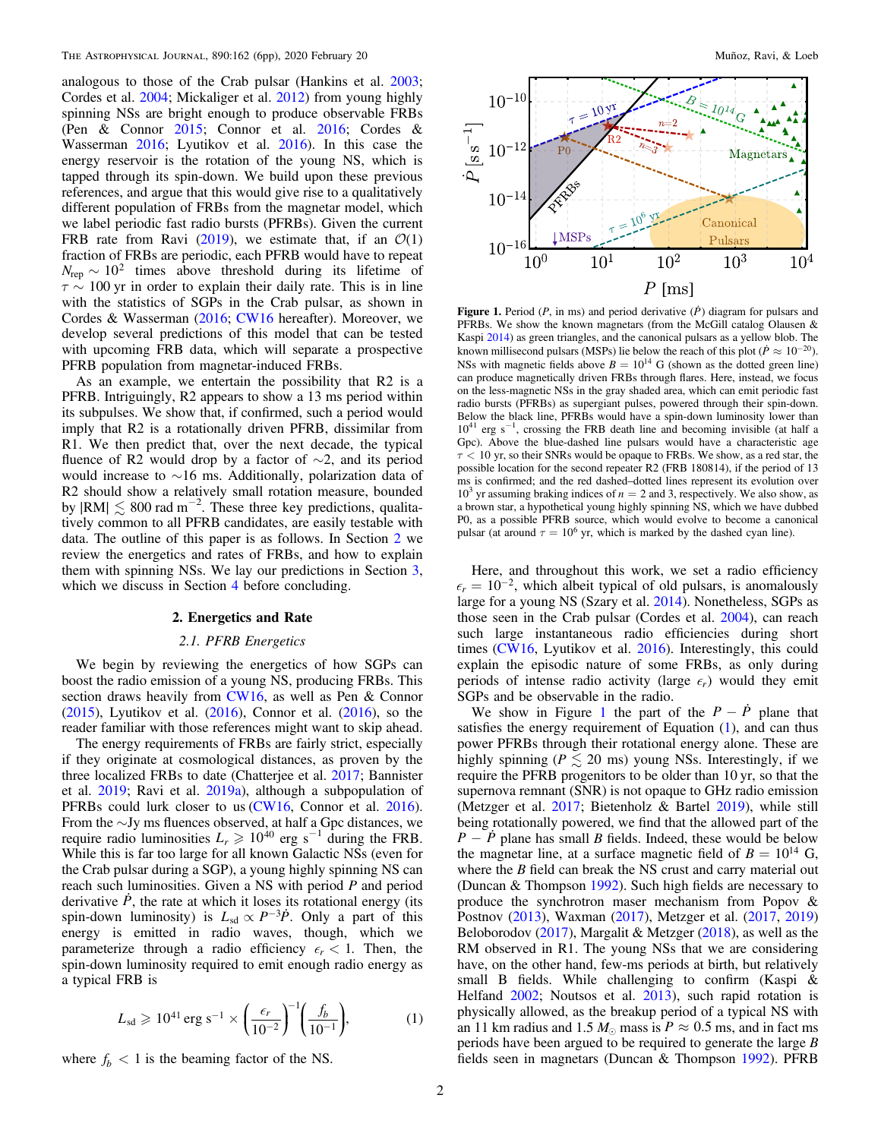<span id="page-1-0"></span>analogous to those of the Crab pulsar (Hankins et al. [2003](#page-4-0); Cordes et al. [2004;](#page-4-0) Mickaliger et al. [2012](#page-5-0)) from young highly spinning NSs are bright enough to produce observable FRBs (Pen & Connor [2015](#page-5-0); Connor et al. [2016](#page-4-0); Cordes & Wasserman [2016;](#page-4-0) Lyutikov et al. [2016](#page-5-0)). In this case the energy reservoir is the rotation of the young NS, which is tapped through its spin-down. We build upon these previous references, and argue that this would give rise to a qualitatively different population of FRBs from the magnetar model, which we label periodic fast radio bursts (PFRBs). Given the current FRB rate from Ravi ([2019](#page-5-0)), we estimate that, if an  $\mathcal{O}(1)$ fraction of FRBs are periodic, each PFRB would have to repeat  $N_{\text{rep}} \sim 10^2$  times above threshold during its lifetime of  $\tau \sim 100$  yr in order to explain their daily rate. This is in line with the statistics of SGPs in the Crab pulsar, as shown in Cordes & Wasserman ([2016](#page-4-0); [CW16](#page-4-0) hereafter). Moreover, we develop several predictions of this model that can be tested with upcoming FRB data, which will separate a prospective PFRB population from magnetar-induced FRBs.

As an example, we entertain the possibility that R2 is a PFRB. Intriguingly, R2 appears to show a 13 ms period within its subpulses. We show that, if confirmed, such a period would imply that R2 is a rotationally driven PFRB, dissimilar from R1. We then predict that, over the next decade, the typical fluence of R2 would drop by a factor of  $\sim$ 2, and its period would increase to ∼16 ms. Additionally, polarization data of R2 should show a relatively small rotation measure, bounded by  $|RM| \lesssim 800$  rad m<sup>-2</sup>. These three key predictions, qualitatively common to all PFRB candidates, are easily testable with data. The outline of this paper is as follows. In Section 2 we review the energetics and rates of FRBs, and how to explain them with spinning NSs. We lay our predictions in Section [3,](#page-2-0) which we discuss in Section [4](#page-4-0) before concluding.

## 2. Energetics and Rate

# 2.1. PFRB Energetics

We begin by reviewing the energetics of how SGPs can boost the radio emission of a young NS, producing FRBs. This section draws heavily from [CW16](#page-4-0), as well as Pen & Connor ([2015](#page-5-0)), Lyutikov et al. ([2016](#page-5-0)), Connor et al. ([2016](#page-4-0)), so the reader familiar with those references might want to skip ahead.

The energy requirements of FRBs are fairly strict, especially if they originate at cosmological distances, as proven by the three localized FRBs to date (Chatterjee et al. [2017](#page-4-0); Bannister et al. [2019](#page-4-0); Ravi et al. [2019a](#page-5-0)), although a subpopulation of PFRBs could lurk closer to us ([CW16,](#page-4-0) Connor et al. [2016](#page-4-0)). From the ∼Jy ms fluences observed, at half a Gpc distances, we require radio luminosities  $L_r \ge 10^{40}$  erg s<sup>-1</sup> during the FRB. While this is far too large for all known Galactic NSs (even for the Crab pulsar during a SGP), a young highly spinning NS can reach such luminosities. Given a NS with period  $P$  and period derivative  $\dot{P}$ , the rate at which it loses its rotational energy (its spin-down luminosity) is  $L_{sd} \propto P^{-3} \dot{P}$ . Only a part of this energy is emitted in radio waves, though, which we parameterize through a radio efficiency  $\epsilon_r < 1$ . Then, the spin-down luminosity required to emit enough radio energy as a typical FRB is

$$
L_{\rm sd} \geqslant 10^{41} \,\text{erg s}^{-1} \times \left(\frac{\epsilon_r}{10^{-2}}\right)^{-1} \left(\frac{f_b}{10^{-1}}\right),\tag{1}
$$

where  $f_h < 1$  is the beaming factor of the NS.



**Figure 1.** Period ( $P$ , in ms) and period derivative ( $\dot{P}$ ) diagram for pulsars and PFRBs. We show the known magnetars (from the McGill catalog Olausen & Kaspi [2014](#page-5-0)) as green triangles, and the canonical pulsars as a yellow blob. The known millisecond pulsars (MSPs) lie below the reach of this plot ( $\dot{P} \approx 10^{-20}$ ). NSs with magnetic fields above  $B = 10^{14}$  G (shown as the dotted green line) can produce magnetically driven FRBs through flares. Here, instead, we focus on the less-magnetic NSs in the gray shaded area, which can emit periodic fast radio bursts (PFRBs) as supergiant pulses, powered through their spin-down. Below the black line, PFRBs would have a spin-down luminosity lower than 10<sup>41</sup> erg s<sup>-1</sup>, crossing the FRB death line and becoming invisible (at half a Gpc). Above the blue-dashed line pulsars would have a characteristic age  $\tau$  < 10 yr, so their SNRs would be opaque to FRBs. We show, as a red star, the possible location for the second repeater R2 (FRB 180814), if the period of 13 ms is confirmed; and the red dashed–dotted lines represent its evolution over  $10<sup>3</sup>$  yr assuming braking indices of  $n = 2$  and 3, respectively. We also show, as a brown star, a hypothetical young highly spinning NS, which we have dubbed P0, as a possible PFRB source, which would evolve to become a canonical pulsar (at around  $\tau = 10^6$  yr, which is marked by the dashed cyan line).

Here, and throughout this work, we set a radio efficiency  $\epsilon_r = 10^{-2}$ , which albeit typical of old pulsars, is anomalously large for a young NS (Szary et al. [2014](#page-5-0)). Nonetheless, SGPs as those seen in the Crab pulsar (Cordes et al. [2004](#page-4-0)), can reach such large instantaneous radio efficiencies during short times ([CW16,](#page-4-0) Lyutikov et al. [2016](#page-5-0)). Interestingly, this could explain the episodic nature of some FRBs, as only during periods of intense radio activity (large  $\epsilon_r$ ) would they emit SGPs and be observable in the radio.

We show in Figure 1 the part of the  $P - \dot{P}$  plane that satisfies the energy requirement of Equation  $(1)$ , and can thus power PFRBs through their rotational energy alone. These are highly spinning ( $P \le 20$  ms) young NSs. Interestingly, if we require the PFRB progenitors to be older than 10 yr, so that the supernova remnant (SNR) is not opaque to GHz radio emission (Metzger et al. [2017;](#page-5-0) Bietenholz & Bartel [2019](#page-4-0)), while still being rotationally powered, we find that the allowed part of the  $P - P$  plane has small B fields. Indeed, these would be below the magnetar line, at a surface magnetic field of  $B = 10^{14}$  G, where the  $B$  field can break the NS crust and carry material out (Duncan & Thompson [1992](#page-4-0)). Such high fields are necessary to produce the synchrotron maser mechanism from Popov & Postnov ([2013](#page-5-0)), Waxman ([2017](#page-5-0)), Metzger et al. ([2017,](#page-5-0) [2019](#page-5-0)) Beloborodov ([2017](#page-4-0)), Margalit & Metzger ([2018](#page-5-0)), as well as the RM observed in R1. The young NSs that we are considering have, on the other hand, few-ms periods at birth, but relatively small B fields. While challenging to confirm (Kaspi & Helfand [2002;](#page-4-0) Noutsos et al. [2013](#page-5-0)), such rapid rotation is physically allowed, as the breakup period of a typical NS with an 11 km radius and 1.5  $M_{\odot}$  mass is  $P \approx 0.5$  ms, and in fact ms periods have been argued to be required to generate the large B fields seen in magnetars (Duncan & Thompson [1992](#page-4-0)). PFRB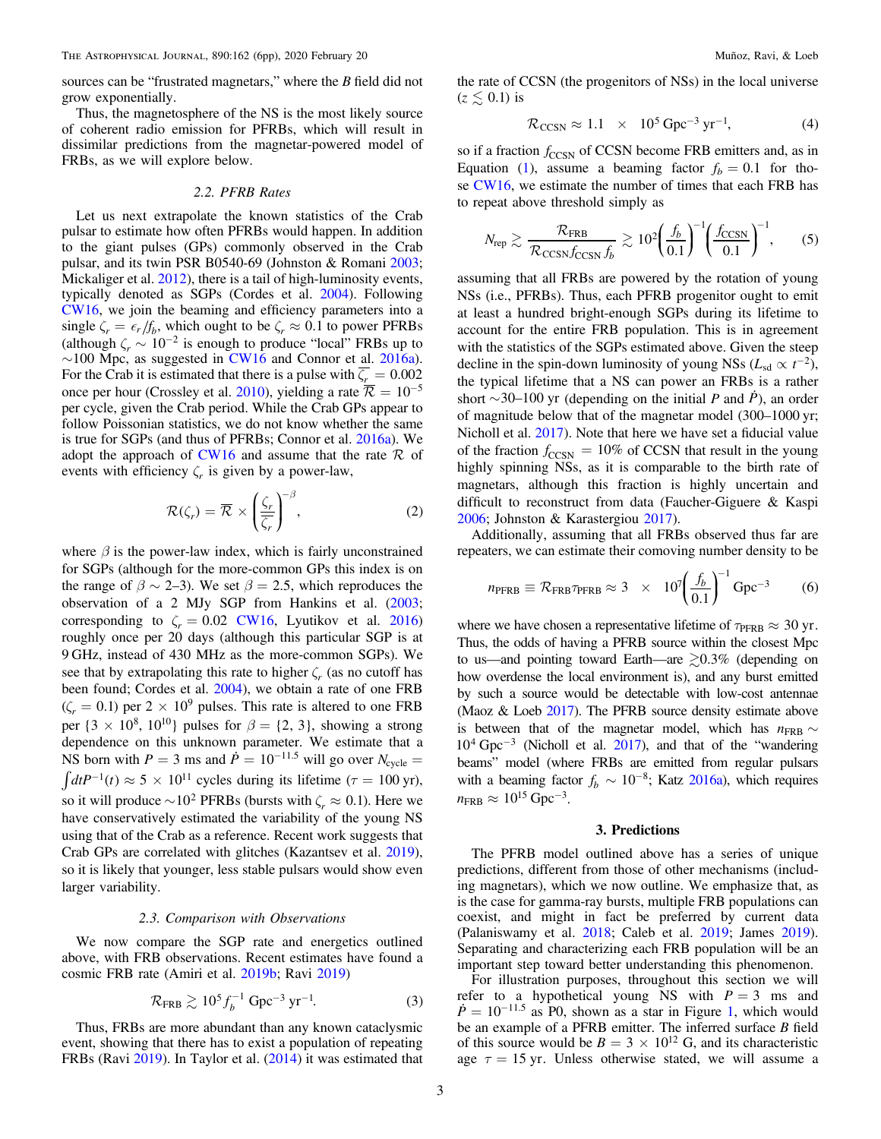<span id="page-2-0"></span>sources can be "frustrated magnetars," where the B field did not grow exponentially.

Thus, the magnetosphere of the NS is the most likely source of coherent radio emission for PFRBs, which will result in dissimilar predictions from the magnetar-powered model of FRBs, as we will explore below.

## 2.2. PFRB Rates

Let us next extrapolate the known statistics of the Crab pulsar to estimate how often PFRBs would happen. In addition to the giant pulses (GPs) commonly observed in the Crab pulsar, and its twin PSR B0540-69 (Johnston & Romani [2003](#page-4-0); Mickaliger et al. [2012](#page-5-0)), there is a tail of high-luminosity events, typically denoted as SGPs (Cordes et al. [2004](#page-4-0)). Following [CW16,](#page-4-0) we join the beaming and efficiency parameters into a single  $\zeta_r = \epsilon_r / f_b$ , which ought to be  $\zeta_r \approx 0.1$  to power PFRBs (although  $\zeta_r \sim 10^{-2}$  is enough to produce "local" FRBs up to  $\sim$ 100 Mpc, as suggested in [CW16](#page-4-0) and Connor et al. [2016a](#page-4-0)). For the Crab it is estimated that there is a pulse with  $\zeta_r = 0.002$ once per hour (Crossley et al. [2010](#page-4-0)), yielding a rate  $\overline{\mathcal{R}} = 10^{-5}$ per cycle, given the Crab period. While the Crab GPs appear to follow Poissonian statistics, we do not know whether the same is true for SGPs (and thus of PFRBs; Connor et al. [2016a](#page-4-0)). We adopt the approach of [CW16](#page-4-0) and assume that the rate  $\mathcal R$  of events with efficiency  $\zeta_r$  is given by a power-law,

$$
\mathcal{R}(\zeta_r) = \overline{\mathcal{R}} \times \left(\frac{\zeta_r}{\overline{\zeta_r}}\right)^{-\beta},\tag{2}
$$

where  $\beta$  is the power-law index, which is fairly unconstrained for SGPs (although for the more-common GPs this index is on the range of  $\beta \sim 2-3$ ). We set  $\beta = 2.5$ , which reproduces the observation of a 2 MJy SGP from Hankins et al. ([2003](#page-4-0); corresponding to  $\zeta_r = 0.02$  [CW16](#page-4-0), Lyutikov et al. [2016](#page-5-0)) roughly once per 20 days (although this particular SGP is at 9 GHz, instead of 430 MHz as the more-common SGPs). We see that by extrapolating this rate to higher  $\zeta$ , (as no cutoff has been found; Cordes et al. [2004](#page-4-0)), we obtain a rate of one FRB  $(\zeta_r = 0.1)$  per 2 × 10<sup>9</sup> pulses. This rate is altered to one FRB per  $\{3 \times 10^8, 10^{10}\}$  pulses for  $\beta = \{2, 3\}$ , showing a strong dependence on this unknown parameter. We estimate that a NS born with  $P = 3$  ms and  $\dot{P} = 10^{-11.5}$  will go over  $N_{\text{cycle}} =$  $\int dt P^{-1}(t) \approx 5 \times 10^{11}$  cycles during its lifetime ( $\tau = 100$  yr), so it will produce  $\sim$ 10<sup>2</sup> PFRBs (bursts with  $\zeta \approx 0.1$ ). Here we have conservatively estimated the variability of the young NS using that of the Crab as a reference. Recent work suggests that Crab GPs are correlated with glitches (Kazantsev et al. [2019](#page-5-0)), so it is likely that younger, less stable pulsars would show even larger variability.

## 2.3. Comparison with Observations

We now compare the SGP rate and energetics outlined above, with FRB observations. Recent estimates have found a cosmic FRB rate (Amiri et al. [2019b](#page-4-0); Ravi [2019](#page-5-0))

$$
\mathcal{R}_{\text{FRB}} \gtrsim 10^5 f_b^{-1} \text{ Gpc}^{-3} \text{ yr}^{-1}.
$$
 (3)

Thus, FRBs are more abundant than any known cataclysmic event, showing that there has to exist a population of repeating FRBs (Ravi [2019](#page-5-0)). In Taylor et al. ([2014](#page-5-0)) it was estimated that the rate of CCSN (the progenitors of NSs) in the local universe  $(z \lesssim 0.1)$  is

$$
\mathcal{R}_{\text{CCSN}} \approx 1.1 \times 10^5 \,\text{Gpc}^{-3} \,\text{yr}^{-1},\tag{4}
$$

so if a fraction  $f_{\text{CCSN}}$  of CCSN become FRB emitters and, as in Equation ([1](#page-1-0)), assume a beaming factor  $f_b = 0.1$  for those [CW16](#page-4-0), we estimate the number of times that each FRB has to repeat above threshold simply as

$$
N_{\rm rep} \gtrsim \frac{\mathcal{R}_{\rm FRB}}{\mathcal{R}_{\rm CCSN} f_{\rm CCSN} f_b} \gtrsim 10^2 \left(\frac{f_b}{0.1}\right)^{-1} \left(\frac{f_{\rm CCSN}}{0.1}\right)^{-1},\tag{5}
$$

assuming that all FRBs are powered by the rotation of young NSs (i.e., PFRBs). Thus, each PFRB progenitor ought to emit at least a hundred bright-enough SGPs during its lifetime to account for the entire FRB population. This is in agreement with the statistics of the SGPs estimated above. Given the steep decline in the spin-down luminosity of young NSs ( $L_{sd} \propto t^{-2}$ ), the typical lifetime that a NS can power an FRBs is a rather short  $\sim$ 30–100 yr (depending on the initial P and P), an order of magnitude below that of the magnetar model (300–1000 yr; Nicholl et al. [2017](#page-5-0)). Note that here we have set a fiducial value of the fraction  $f_{\text{CCSN}} = 10\%$  of CCSN that result in the young highly spinning NSs, as it is comparable to the birth rate of magnetars, although this fraction is highly uncertain and difficult to reconstruct from data (Faucher-Giguere & Kaspi [2006;](#page-4-0) Johnston & Karastergiou [2017](#page-4-0)).

Additionally, assuming that all FRBs observed thus far are repeaters, we can estimate their comoving number density to be

$$
n_{\text{PFRB}} \equiv \mathcal{R}_{\text{FRB}} \tau_{\text{PFRB}} \approx 3 \times 10^7 \left(\frac{f_b}{0.1}\right)^{-1} \text{Gpc}^{-3} \tag{6}
$$

where we have chosen a representative lifetime of  $\tau_{\text{PFRB}} \approx 30 \text{ yr}$ . Thus, the odds of having a PFRB source within the closest Mpc to us—and pointing toward Earth—are  $\gtrsim 0.3\%$  (depending on how overdense the local environment is), and any burst emitted by such a source would be detectable with low-cost antennae (Maoz & Loeb [2017](#page-5-0)). The PFRB source density estimate above is between that of the magnetar model, which has  $n_{\text{FRB}} \sim 10^4 \text{ Gpc}^{-3}$  (Nicholl et al. [2017](#page-5-0)), and that of the "wandering beams" model (where FRBs are emitted from regular pulsars with a beaming factor  $f_b \sim 10^{-8}$ ; Katz [2016a](#page-4-0)), which requires  $n_{\rm FRB} \approx 10^{15} \,\rm Gpc^{-3}$ .

## 3. Predictions

The PFRB model outlined above has a series of unique predictions, different from those of other mechanisms (including magnetars), which we now outline. We emphasize that, as is the case for gamma-ray bursts, multiple FRB populations can coexist, and might in fact be preferred by current data (Palaniswamy et al. [2018;](#page-5-0) Caleb et al. [2019;](#page-4-0) James [2019](#page-4-0)). Separating and characterizing each FRB population will be an important step toward better understanding this phenomenon.

For illustration purposes, throughout this section we will refer to a hypothetical young NS with  $P = 3$  ms and  $\dot{P} = 10^{-11.5}$  $\dot{P} = 10^{-11.5}$  $\dot{P} = 10^{-11.5}$  as P0, shown as a star in Figure 1, which would be an example of a PFRB emitter. The inferred surface B field of this source would be  $B = 3 \times 10^{12}$  G, and its characteristic age  $\tau = 15$  yr. Unless otherwise stated, we will assume a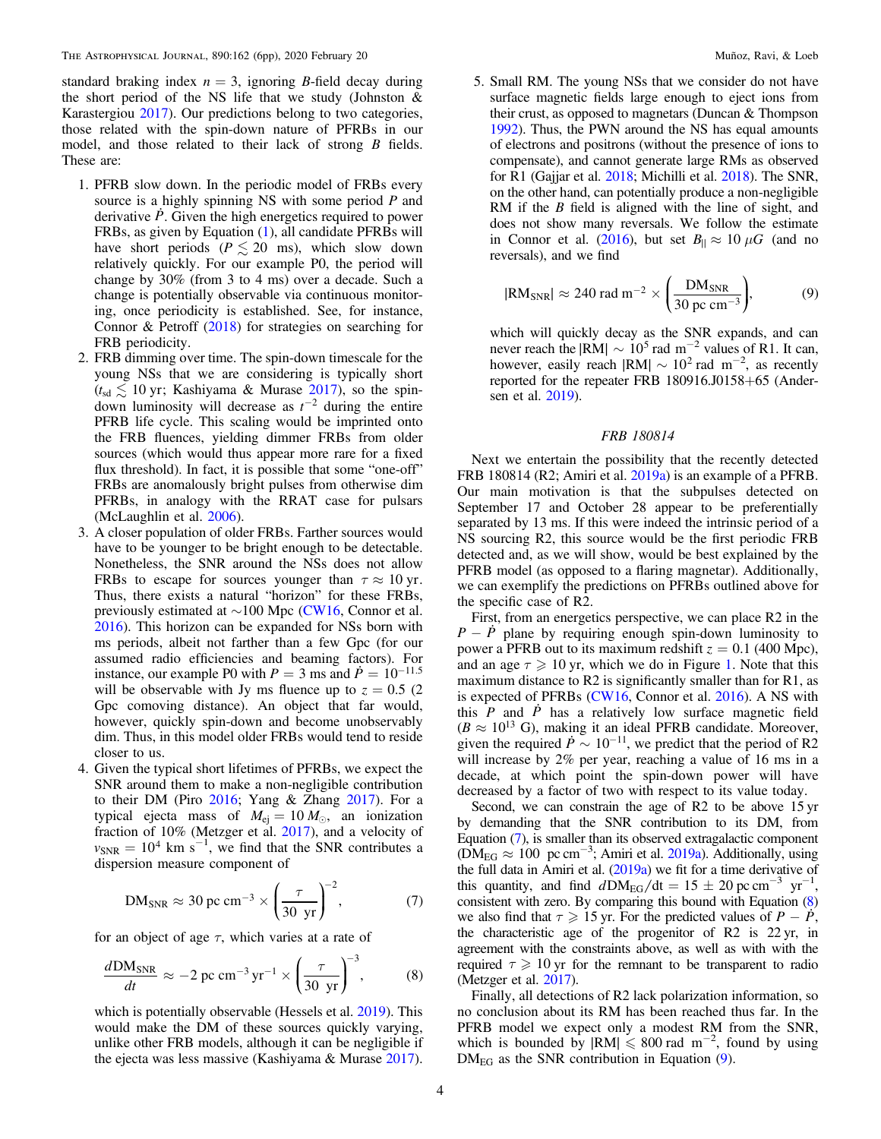standard braking index  $n = 3$ , ignoring B-field decay during the short period of the NS life that we study (Johnston  $\&$ Karastergiou [2017](#page-4-0)). Our predictions belong to two categories, those related with the spin-down nature of PFRBs in our model, and those related to their lack of strong B fields. These are:

- 1. PFRB slow down. In the periodic model of FRBs every source is a highly spinning NS with some period P and derivative *P*. Given the high energetics required to power FRBs, as given by Equation ([1](#page-1-0)), all candidate PFRBs will have short periods ( $P \le 20$  ms), which slow down relatively quickly. For our example P0, the period will change by 30% (from 3 to 4 ms) over a decade. Such a change is potentially observable via continuous monitoring, once periodicity is established. See, for instance, Connor & Petroff ([2018](#page-4-0)) for strategies on searching for FRB periodicity.
- 2. FRB dimming over time. The spin-down timescale for the young NSs that we are considering is typically short  $(t_{sd} \lesssim 10 \text{ yr}$ ; Kashiyama & Murase [2017](#page-4-0)), so the spindown luminosity will decrease as  $t^{-2}$  during the entire PFRB life cycle. This scaling would be imprinted onto the FRB fluences, yielding dimmer FRBs from older sources (which would thus appear more rare for a fixed flux threshold). In fact, it is possible that some "one-off" FRBs are anomalously bright pulses from otherwise dim PFRBs, in analogy with the RRAT case for pulsars (McLaughlin et al. [2006](#page-5-0)).
- 3. A closer population of older FRBs. Farther sources would have to be younger to be bright enough to be detectable. Nonetheless, the SNR around the NSs does not allow FRBs to escape for sources younger than  $\tau \approx 10$  yr. Thus, there exists a natural "horizon" for these FRBs, previously estimated at ∼100 Mpc ([CW16,](#page-4-0) Connor et al. [2016](#page-4-0)). This horizon can be expanded for NSs born with ms periods, albeit not farther than a few Gpc (for our assumed radio efficiencies and beaming factors). For instance, our example P0 with  $P = 3$  ms and  $\dot{P} = 10^{-11.5}$ will be observable with Jy ms fluence up to  $z = 0.5$  (2) Gpc comoving distance). An object that far would, however, quickly spin-down and become unobservably dim. Thus, in this model older FRBs would tend to reside closer to us.
- 4. Given the typical short lifetimes of PFRBs, we expect the SNR around them to make a non-negligible contribution to their DM (Piro  $2016$ ; Yang & Zhang  $2017$ ). For a typical ejecta mass of  $M_{ej} = 10 M_{\odot}$ , an ionization fraction of 10% (Metzger et al. [2017](#page-5-0)), and a velocity of  $v_{SNR} = 10^4$  km s<sup>-1</sup>, we find that the SNR contributes a dispersion measure component of

$$
DM_{SNR} \approx 30 \text{ pc cm}^{-3} \times \left(\frac{\tau}{30 \text{ yr}}\right)^{-2},\tag{7}
$$

for an object of age  $\tau$ , which varies at a rate of

$$
\frac{d\text{DM}_{\text{SNR}}}{dt} \approx -2 \text{ pc cm}^{-3} \text{ yr}^{-1} \times \left(\frac{\tau}{30 \text{ yr}}\right)^{-3},\tag{8}
$$

which is potentially observable (Hessels et al. [2019](#page-4-0)). This would make the DM of these sources quickly varying, unlike other FRB models, although it can be negligible if the ejecta was less massive (Kashiyama & Murase [2017](#page-4-0)).

5. Small RM. The young NSs that we consider do not have surface magnetic fields large enough to eject ions from their crust, as opposed to magnetars (Duncan & Thompson [1992](#page-4-0)). Thus, the PWN around the NS has equal amounts of electrons and positrons (without the presence of ions to compensate), and cannot generate large RMs as observed for R1 (Gajjar et al. [2018](#page-4-0); Michilli et al. [2018](#page-5-0)). The SNR, on the other hand, can potentially produce a non-negligible RM if the *B* field is aligned with the line of sight, and does not show many reversals. We follow the estimate in Connor et al. ([2016](#page-4-0)), but set  $B_{\parallel} \approx 10 \mu G$  (and no reversals), and we find

$$
|\text{RM}_{\text{SNR}}| \approx 240 \text{ rad m}^{-2} \times \left(\frac{\text{DM}_{\text{SNR}}}{30 \text{ pc cm}^{-3}}\right),\tag{9}
$$

which will quickly decay as the SNR expands, and can never reach the  $|RM| \sim 10^5$  rad m<sup>-2</sup> values of R1. It can, however, easily reach  $|RM| \sim 10^2$  rad m<sup>-2</sup>, as recently reported for the repeater FRB 180916.J0158+65 (Andersen et al. [2019](#page-4-0)).

## FRB 180814

Next we entertain the possibility that the recently detected FRB 180814 (R2; Amiri et al. [2019a](#page-4-0)) is an example of a PFRB. Our main motivation is that the subpulses detected on September 17 and October 28 appear to be preferentially separated by 13 ms. If this were indeed the intrinsic period of a NS sourcing R2, this source would be the first periodic FRB detected and, as we will show, would be best explained by the PFRB model (as opposed to a flaring magnetar). Additionally, we can exemplify the predictions on PFRBs outlined above for the specific case of R2.

First, from an energetics perspective, we can place R2 in the  $P - P$  plane by requiring enough spin-down luminosity to power a PFRB out to its maximum redshift  $z = 0.1$  (400 Mpc), and an age  $\tau \geq 10$  $\tau \geq 10$  $\tau \geq 10$  yr, which we do in Figure 1. Note that this maximum distance to R2 is significantly smaller than for R1, as is expected of PFRBs ([CW16,](#page-4-0) Connor et al. [2016](#page-4-0)). A NS with this  $P$  and  $\dot{P}$  has a relatively low surface magnetic field  $(B \approx 10^{13} \text{ G})$ , making it an ideal PFRB candidate. Moreover, given the required  $\dot{P} \sim 10^{-11}$ , we predict that the period of R2 will increase by 2% per year, reaching a value of 16 ms in a decade, at which point the spin-down power will have decreased by a factor of two with respect to its value today.

Second, we can constrain the age of R2 to be above 15 yr by demanding that the SNR contribution to its DM, from Equation (7), is smaller than its observed extragalactic component  $(DM<sub>EG</sub> \approx 100 \text{ pc cm}^{-3}$ ; Amiri et al. [2019a](#page-4-0)). Additionally, using the full data in Amiri et al. ([2019a](#page-4-0)) we fit for a time derivative of this quantity, and find  $d\text{DM}_{\text{EG}}/dt = 15 \pm 20 \text{ pc cm}^{-3} \text{ yr}^{-1}$ , consistent with zero. By comparing this bound with Equation (8) we also find that  $\tau \geq 15$  yr. For the predicted values of  $P - P$ , the characteristic age of the progenitor of R2 is 22 yr, in agreement with the constraints above, as well as with with the required  $\tau \geq 10$  yr for the remnant to be transparent to radio (Metzger et al. [2017](#page-5-0)).

Finally, all detections of R2 lack polarization information, so no conclusion about its RM has been reached thus far. In the PFRB model we expect only a modest RM from the SNR, which is bounded by  $|RM| \le 800$  rad m<sup>-2</sup>, found by using  $DM_{EG}$  as the SNR contribution in Equation (9).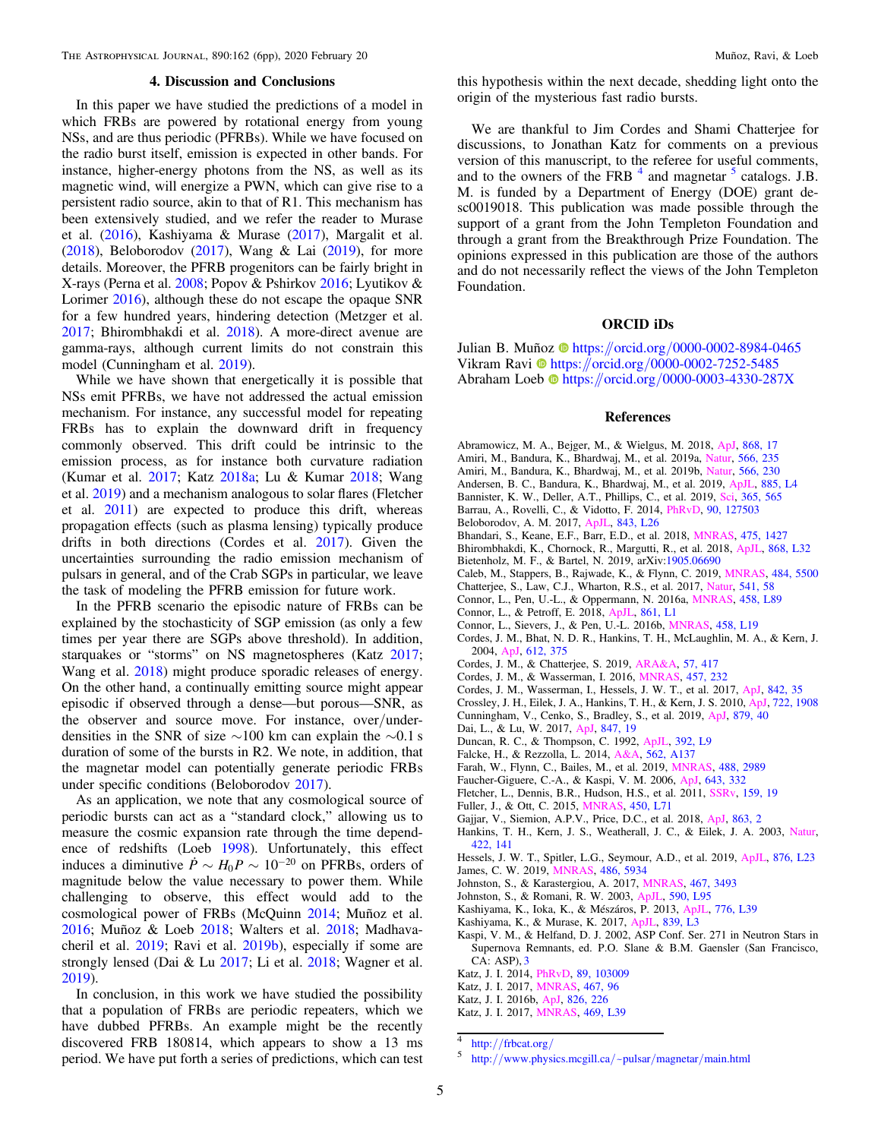### 4. Discussion and Conclusions

<span id="page-4-0"></span>In this paper we have studied the predictions of a model in which FRBs are powered by rotational energy from young NSs, and are thus periodic (PFRBs). While we have focused on the radio burst itself, emission is expected in other bands. For instance, higher-energy photons from the NS, as well as its magnetic wind, will energize a PWN, which can give rise to a persistent radio source, akin to that of R1. This mechanism has been extensively studied, and we refer the reader to Murase et al. ([2016](#page-5-0)), Kashiyama & Murase (2017), Margalit et al. ([2018](#page-5-0)), Beloborodov (2017), Wang & Lai ([2019](#page-5-0)), for more details. Moreover, the PFRB progenitors can be fairly bright in X-rays (Perna et al. [2008;](#page-5-0) Popov & Pshirkov [2016](#page-5-0); Lyutikov & Lorimer [2016](#page-5-0)), although these do not escape the opaque SNR for a few hundred years, hindering detection (Metzger et al. [2017;](#page-5-0) Bhirombhakdi et al. 2018). A more-direct avenue are gamma-rays, although current limits do not constrain this model (Cunningham et al. 2019).

While we have shown that energetically it is possible that NSs emit PFRBs, we have not addressed the actual emission mechanism. For instance, any successful model for repeating FRBs has to explain the downward drift in frequency commonly observed. This drift could be intrinsic to the emission process, as for instance both curvature radiation (Kumar et al. [2017](#page-5-0); Katz [2018a](#page-5-0); Lu & Kumar [2018](#page-5-0); Wang et al. [2019](#page-5-0)) and a mechanism analogous to solar flares (Fletcher et al. 2011) are expected to produce this drift, whereas propagation effects (such as plasma lensing) typically produce drifts in both directions (Cordes et al. 2017). Given the uncertainties surrounding the radio emission mechanism of pulsars in general, and of the Crab SGPs in particular, we leave the task of modeling the PFRB emission for future work.

In the PFRB scenario the episodic nature of FRBs can be explained by the stochasticity of SGP emission (as only a few times per year there are SGPs above threshold). In addition, starquakes or "storms" on NS magnetospheres (Katz 2017; Wang et al. [2018](#page-5-0)) might produce sporadic releases of energy. On the other hand, a continually emitting source might appear episodic if observed through a dense—but porous—SNR, as the observer and source move. For instance, over/underdensities in the SNR of size ∼100 km can explain the ∼0.1 s duration of some of the bursts in R2. We note, in addition, that the magnetar model can potentially generate periodic FRBs under specific conditions (Beloborodov 2017).

As an application, we note that any cosmological source of periodic bursts can act as a "standard clock," allowing us to measure the cosmic expansion rate through the time dependence of redshifts (Loeb [1998](#page-5-0)). Unfortunately, this effect induces a diminutive  $\dot{P} \sim H_0 P \sim 10^{-20}$  on PFRBs, orders of magnitude below the value necessary to power them. While challenging to observe, this effect would add to the cosmological power of FRBs (McQuinn [2014;](#page-5-0) Muñoz et al. [2016;](#page-5-0) Muñoz & Loeb [2018](#page-5-0); Walters et al. [2018;](#page-5-0) Madhavacheril et al. [2019](#page-5-0); Ravi et al. [2019b](#page-5-0)), especially if some are strongly lensed (Dai & Lu 2017; Li et al. [2018;](#page-5-0) Wagner et al. [2019](#page-5-0)).

In conclusion, in this work we have studied the possibility that a population of FRBs are periodic repeaters, which we have dubbed PFRBs. An example might be the recently discovered FRB 180814, which appears to show a 13 ms period. We have put forth a series of predictions, which can test this hypothesis within the next decade, shedding light onto the origin of the mysterious fast radio bursts.

We are thankful to Jim Cordes and Shami Chatterjee for discussions, to Jonathan Katz for comments on a previous version of this manuscript, to the referee for useful comments, and to the owners of the FRB  $<sup>4</sup>$  and magnetar  $<sup>5</sup>$  catalogs. J.B.</sup></sup> M. is funded by a Department of Energy (DOE) grant desc0019018. This publication was made possible through the support of a grant from the John Templeton Foundation and through a grant from the Breakthrough Prize Foundation. The opinions expressed in this publication are those of the authors and do not necessarily reflect the views of the John Templeton Foundation.

## ORCID iDs

Julian B. Muño[z](https://orcid.org/0000-0002-8984-0465) @ [https:](https://orcid.org/0000-0002-8984-0465)//orcid.org/[0000-0002-8984-0465](https://orcid.org/0000-0002-8984-0465) Vikram Ravi <sup>to</sup> [https:](https://orcid.org/0000-0002-7252-5485)//orcid.org/[0000-0002-7252-5485](https://orcid.org/0000-0002-7252-5485) A[b](https://orcid.org/0000-0003-4330-287X)raham Loeb @ [https:](https://orcid.org/0000-0003-4330-287X)//orcid.org/[0000-0003-4330-287X](https://orcid.org/0000-0003-4330-287X)

## References

- Abramowicz, M. A., Bejger, M., & Wielgus, M. 2018, [ApJ,](https://doi.org/10.3847/1538-4357/aae64a) [868, 17](https://ui.adsabs.harvard.edu/abs/2018ApJ...868...17A/abstract)
- Amiri, M., Bandura, K., Bhardwaj, M., et al. 2019a, [Natur,](https://doi.org/10.1038/s41586-018-0864-x) [566, 235](https://ui.adsabs.harvard.edu/abs/2019Natur.566..235C/abstract)
- Amiri, M., Bandura, K., Bhardwaj, M., et al. 2019b, [Natur](https://doi.org/10.1038/s41586-018-0867-7), [566, 230](https://ui.adsabs.harvard.edu/abs/2019Natur.566..230C/abstract)
- Andersen, B. C., Bandura, K., Bhardwaj, M., et al. 2019, [ApJL](https://doi.org/10.3847/2041-8213/ab4a80), [885, L4](https://ui.adsabs.harvard.edu/abs/2019ApJ...885L..24C/abstract) Bannister, K. W., Deller, A.T., Phillips, C., et al. 2019, [Sci,](https://doi.org/10.1126/science.aaw5903) [365, 565](https://ui.adsabs.harvard.edu/abs/2019Sci...365..565B/abstract)
- Barrau, A., Rovelli, C., & Vidotto, F. 2014, [PhRvD,](https://doi.org/10.1103/PhysRevD.90.127503) [90, 127503](https://ui.adsabs.harvard.edu/abs/2014PhRvD..90l7503B/abstract)
- Beloborodov, A. M. 2017, [ApJL](https://doi.org/10.3847/2041-8213/aa78f3), [843, L26](https://ui.adsabs.harvard.edu/abs/2017ApJ...843L..26B/abstract)
- Bhandari, S., Keane, E.F., Barr, E.D., et al. 2018, [MNRAS](https://doi.org/10.1093/mnras/stx3074), [475, 1427](https://ui.adsabs.harvard.edu/abs/2018MNRAS.475.1427B/abstract)
- Bhirombhakdi, K., Chornock, R., Margutti, R., et al. 2018, [ApJL,](https://doi.org/10.3847/2041-8213/aaee83) [868, L32](https://ui.adsabs.harvard.edu/abs/2018ApJ...868L..32B/abstract)
- Bietenholz, M. F., & Bartel, N. 2019, arXiv[:1905.06690](http://arxiv.org/abs/1905.06690)
- Caleb, M., Stappers, B., Rajwade, K., & Flynn, C. 2019, [MNRAS](https://doi.org/10.1093/mnras/stz386), [484, 5500](https://ui.adsabs.harvard.edu/abs/2019MNRAS.484.5500C/abstract)
- Chatterjee, S., Law, C.J., Wharton, R.S., et al. 2017, [Natur](https://doi.org/10.1038/nature20797), [541, 58](https://ui.adsabs.harvard.edu/abs/2017Natur.541...58C/abstract)
- Connor, L., Pen, U.-L., & Oppermann, N. 2016a, [MNRAS,](https://doi.org/10.1093/mnrasl/slw026) [458, L89](https://ui.adsabs.harvard.edu/abs/2016MNRAS.458L..89C/abstract)
- Connor, L., & Petroff, E. 2018, [ApJL,](https://doi.org/10.3847/2041-8213/aacd02) [861, L1](https://ui.adsabs.harvard.edu/abs/2018ApJ...861L...1C/abstract)
- Connor, L., Sievers, J., & Pen, U.-L. 2016b, [MNRAS](https://doi.org/10.1093/mnrasl/slw026), [458, L19](https://ui.adsabs.harvard.edu/abs/2016MNRAS.458L..19C/abstract)
- Cordes, J. M., Bhat, N. D. R., Hankins, T. H., McLaughlin, M. A., & Kern, J. 2004, [ApJ](https://doi.org/10.1086/422495), [612, 375](https://ui.adsabs.harvard.edu/abs/2004ApJ...612..375C/abstract)
- Cordes, J. M., & Chatterjee, S. 2019, [ARA&A](https://doi.org/10.1146/annurev-astro-091918-104501), [57, 417](https://ui.adsabs.harvard.edu/abs/2019ARA&A..57..417C/abstract)
- Cordes, J. M., & Wasserman, I. 2016, [MNRAS,](https://doi.org/10.1093/mnras/stv2948) [457, 232](https://ui.adsabs.harvard.edu/abs/2016MNRAS.457..232C/abstract)
- Cordes, J. M., Wasserman, I., Hessels, J. W. T., et al. 2017, [ApJ](https://doi.org/10.3847/1538-4357/aa74da), [842, 35](https://ui.adsabs.harvard.edu/abs/2017ApJ...842...35C/abstract)
- Crossley, J. H., Eilek, J. A., Hankins, T. H., & Kern, J. S. 2010, [ApJ](https://doi.org/10.1088/0004-637X/722/2/1908), [722, 1908](https://ui.adsabs.harvard.edu/abs/2010ApJ...722.1908C/abstract)
- Cunningham, V., Cenko, S., Bradley, S., et al. 2019, [ApJ](https://doi.org/10.3847/1538-4357/ab2235), [879, 40](https://ui.adsabs.harvard.edu/abs/2019ApJ...879...40C/abstract)
- Dai, L., & Lu, W. 2017, [ApJ](https://doi.org/10.3847/1538-4357/aa8873), [847, 19](https://ui.adsabs.harvard.edu/abs/2017ApJ...847...19D/abstract)
- Duncan, R. C., & Thompson, C. 1992, [ApJL,](https://doi.org/10.1086/186413) [392, L9](https://ui.adsabs.harvard.edu/abs/1992ApJ...392L...9D/abstract)
- Falcke, H., & Rezzolla, L. 2014, [A&A,](https://doi.org/10.1051/0004-6361/201321996) [562, A137](https://ui.adsabs.harvard.edu/abs/2014A&A...562A.137F/abstract)
- Farah, W., Flynn, C., Bailes, M., et al. 2019, [MNRAS](https://doi.org/10.1093/mnras/stz1748), [488, 2989](https://ui.adsabs.harvard.edu/abs/2019MNRAS.488.2989F/abstract)
- Faucher-Giguere, C.-A., & Kaspi, V. M. 2006, [ApJ,](https://doi.org/10.1086/501516) [643, 332](https://ui.adsabs.harvard.edu/abs/2006ApJ...643..332F/abstract)
- Fletcher, L., Dennis, B.R., Hudson, H.S., et al. 2011, [SSRv,](https://doi.org/10.1007/s11214-010-9701-8) [159, 19](https://ui.adsabs.harvard.edu/abs/2011SSRv..159...19F/abstract)
- Fuller, J., & Ott, C. 2015, [MNRAS](https://doi.org/10.1093/mnrasl/slv049), [450, L71](https://ui.adsabs.harvard.edu/abs/2015MNRAS.450L..71F/abstract)
- Gajjar, V., Siemion, A.P.V., Price, D.C., et al. 2018, [ApJ](https://doi.org/10.3847/1538-4357/aad005), [863, 2](https://ui.adsabs.harvard.edu/abs/2018ApJ...863....2G/abstract)
- Hankins, T. H., Kern, J. S., Weatherall, J. C., & Eilek, J. A. 2003, [Natur](https://doi.org/10.1038/nature01477)[,](https://ui.adsabs.harvard.edu/abs/2003Natur.422..141H/abstract) [422, 141](https://ui.adsabs.harvard.edu/abs/2003Natur.422..141H/abstract)
- Hessels, J. W. T., Spitler, L.G., Seymour, A.D., et al. 2019, [ApJL,](https://doi.org/10.3847/2041-8213/ab13ae) [876, L23](https://ui.adsabs.harvard.edu/abs/2019ApJ...876L..23H/abstract) James, C. W. 2019, [MNRAS,](https://doi.org/10.1093/mnras/stz1224) [486, 5934](https://ui.adsabs.harvard.edu/abs/2019MNRAS.486.5934J/abstract)
- Johnston, S., & Karastergiou, A. 2017, [MNRAS](https://doi.org/10.1093/mnras/stx377), [467, 3493](https://ui.adsabs.harvard.edu/abs/2017MNRAS.467.3493J/abstract)
- Johnston, S., & Romani, R. W. 2003, [ApJL,](https://doi.org/10.1086/376826) [590, L95](https://ui.adsabs.harvard.edu/abs/2003ApJ...590L..95J/abstract)
- 
- Kashiyama, K., Ioka, K., & Mészáros, P. 2013, [ApJL](https://doi.org/10.1088/2041-8205/776/2/L39), [776, L39](https://ui.adsabs.harvard.edu/abs/2013ApJ...776L..39K/abstract)
- Kashiyama, K., & Murase, K. 2017, [ApJL](https://doi.org/10.3847/2041-8213/aa68e1), [839, L3](https://ui.adsabs.harvard.edu/abs/2017ApJ...839L...3K/abstract)
- Kaspi, V. M., & Helfand, D. J. 2002, ASP Conf. Ser. 271 in Neutron Stars in Supernova Remnants, ed. P.O. Slane & B.M. Gaensler (San Francisco, CA: ASP), [3](https://ui.adsabs.harvard.edu/abs/2002ASPC..271....3K/abstract)
- Katz, J. I. 2014, [PhRvD](https://doi.org/10.1103/PhysRevD.89.103009), [89, 103009](https://ui.adsabs.harvard.edu/abs/2014PhRvD..89j3009K/abstract)
- Katz, J. I. 2017, [MNRAS](https://doi.org/10.1093/mnrasl/slx014), [467, 96](https://ui.adsabs.harvard.edu/abs/2017MNRAS.467L..96K/abstract)
- Katz, J. I. 2016b, [ApJ,](https://doi.org/10.3847/0004-637X/826/2/226) [826, 226](https://ui.adsabs.harvard.edu/abs/2016ApJ...826..226K/abstract)
- Katz, J. I. 2017, [MNRAS](https://doi.org/10.1093/mnrasl/slx052), [469, L39](https://ui.adsabs.harvard.edu/abs/2017MNRAS.469L..39K/abstract)

 $\frac{4}{5}$  http://[frbcat.org](http://frbcat.org/)/<br>5 http://[www.physics.mcgill.ca](http://www.physics.mcgill.ca/~pulsar/magnetar/main.html)/~pulsar/magnetar/main.html